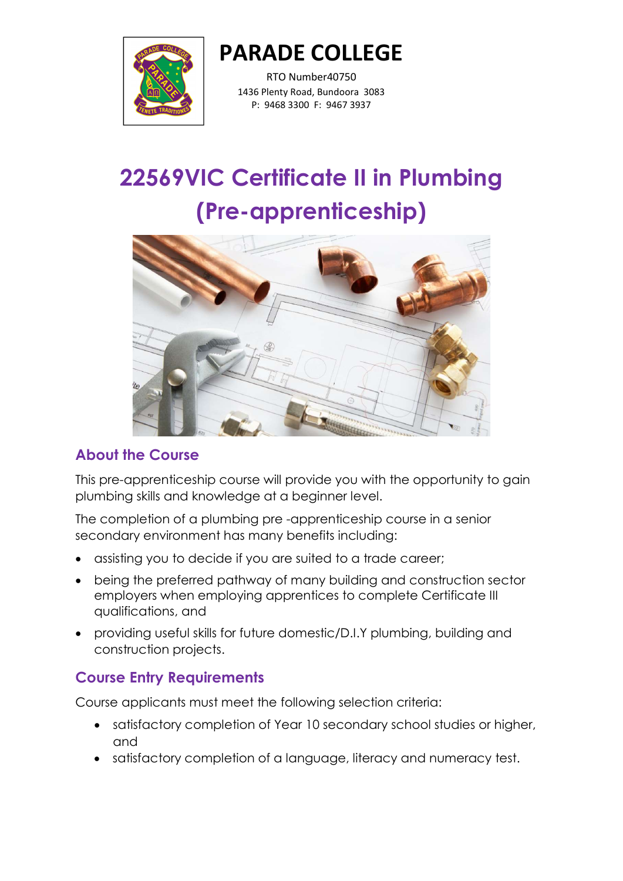

RTO Number40750 1436 Plenty Road, Bundoora 3083 P: 9468 3300 F: 9467 3937

# 22569VIC Certificate II in Plumbing (Pre-apprenticeship)



#### About the Course

This pre-apprenticeship course will provide you with the opportunity to gain plumbing skills and knowledge at a beginner level.

The completion of a plumbing pre -apprenticeship course in a senior secondary environment has many benefits including:

- assisting you to decide if you are suited to a trade career;
- being the preferred pathway of many building and construction sector employers when employing apprentices to complete Certificate III qualifications, and
- providing useful skills for future domestic/D.I.Y plumbing, building and construction projects.

# Course Entry Requirements

Course applicants must meet the following selection criteria:

- satisfactory completion of Year 10 secondary school studies or higher, and
- satisfactory completion of a language, literacy and numeracy test.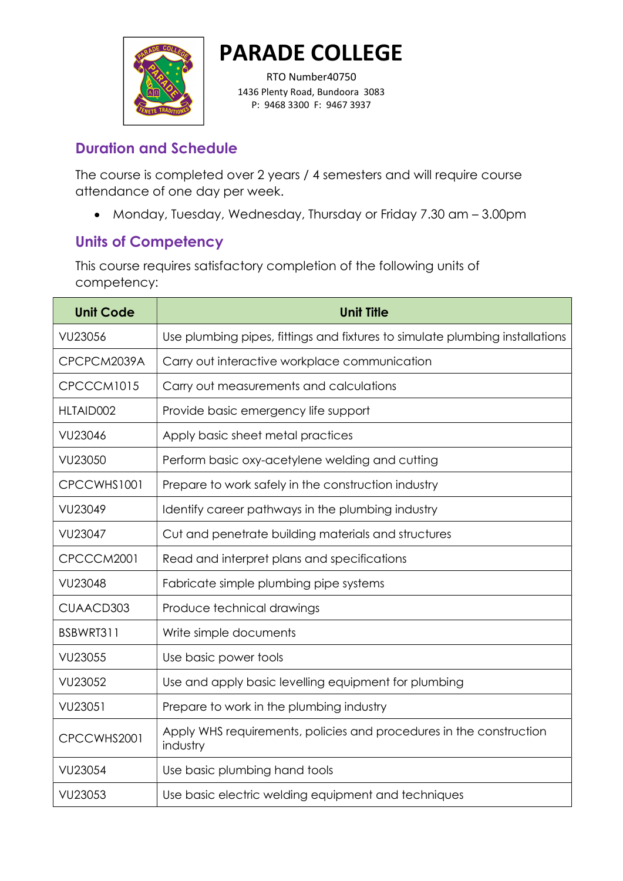

RTO Number40750 1436 Plenty Road, Bundoora 3083 P: 9468 3300 F: 9467 3937

#### Duration and Schedule

The course is completed over 2 years / 4 semesters and will require course attendance of one day per week.

Monday, Tuesday, Wednesday, Thursday or Friday 7.30 am – 3.00pm

## Units of Competency

This course requires satisfactory completion of the following units of competency:

| <b>Unit Code</b> | <b>Unit Title</b>                                                               |
|------------------|---------------------------------------------------------------------------------|
| VU23056          | Use plumbing pipes, fittings and fixtures to simulate plumbing installations    |
| CPCPCM2039A      | Carry out interactive workplace communication                                   |
| CPCCCM1015       | Carry out measurements and calculations                                         |
| HLTAID002        | Provide basic emergency life support                                            |
| <b>VU23046</b>   | Apply basic sheet metal practices                                               |
| VU23050          | Perform basic oxy-acetylene welding and cutting                                 |
| CPCCWHS1001      | Prepare to work safely in the construction industry                             |
| VU23049          | Identify career pathways in the plumbing industry                               |
| VU23047          | Cut and penetrate building materials and structures                             |
| CPCCCM2001       | Read and interpret plans and specifications                                     |
| <b>VU23048</b>   | Fabricate simple plumbing pipe systems                                          |
| CUAACD303        | Produce technical drawings                                                      |
| BSBWRT311        | Write simple documents                                                          |
| VU23055          | Use basic power tools                                                           |
| VU23052          | Use and apply basic levelling equipment for plumbing                            |
| VU23051          | Prepare to work in the plumbing industry                                        |
| CPCCWHS2001      | Apply WHS requirements, policies and procedures in the construction<br>industry |
| VU23054          | Use basic plumbing hand tools                                                   |
| VU23053          | Use basic electric welding equipment and techniques                             |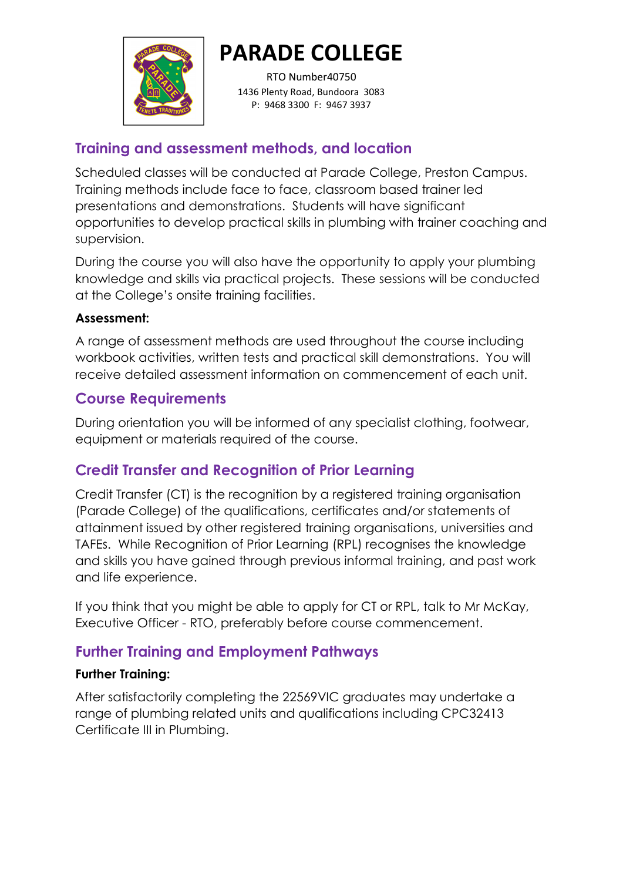

RTO Number40750 1436 Plenty Road, Bundoora 3083 P: 9468 3300 F: 9467 3937

## Training and assessment methods, and location

Scheduled classes will be conducted at Parade College, Preston Campus. Training methods include face to face, classroom based trainer led presentations and demonstrations. Students will have significant opportunities to develop practical skills in plumbing with trainer coaching and supervision.

During the course you will also have the opportunity to apply your plumbing knowledge and skills via practical projects. These sessions will be conducted at the College's onsite training facilities.

#### Assessment:

A range of assessment methods are used throughout the course including workbook activities, written tests and practical skill demonstrations. You will receive detailed assessment information on commencement of each unit.

## Course Requirements

During orientation you will be informed of any specialist clothing, footwear, equipment or materials required of the course.

# Credit Transfer and Recognition of Prior Learning

Credit Transfer (CT) is the recognition by a registered training organisation (Parade College) of the qualifications, certificates and/or statements of attainment issued by other registered training organisations, universities and TAFEs. While Recognition of Prior Learning (RPL) recognises the knowledge and skills you have gained through previous informal training, and past work and life experience.

If you think that you might be able to apply for CT or RPL, talk to Mr McKay, Executive Officer - RTO, preferably before course commencement.

# Further Training and Employment Pathways

#### Further Training:

After satisfactorily completing the 22569VIC graduates may undertake a range of plumbing related units and qualifications including CPC32413 Certificate III in Plumbing.